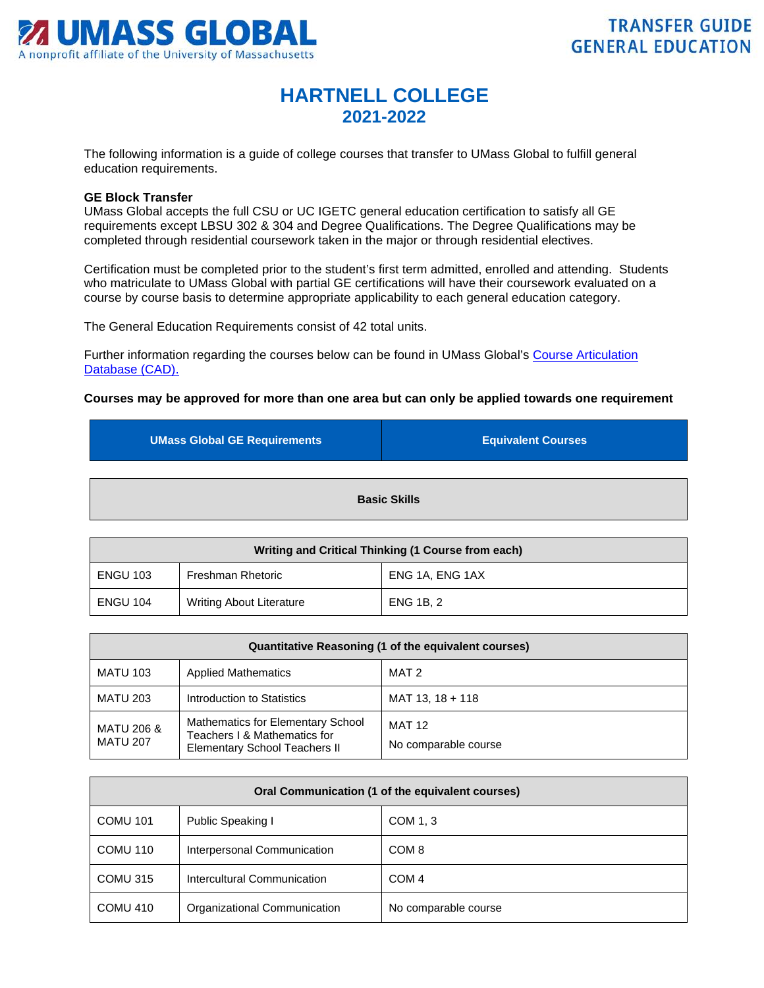

## **HARTNELL COLLEGE 2021-2022**

The following information is a guide of college courses that transfer to UMass Global to fulfill general education requirements.

## **GE Block Transfer**

UMass Global accepts the full CSU or UC IGETC general education certification to satisfy all GE requirements except LBSU 302 & 304 and Degree Qualifications. The Degree Qualifications may be completed through residential coursework taken in the major or through residential electives.

Certification must be completed prior to the student's first term admitted, enrolled and attending. Students who matriculate to UMass Global with partial GE certifications will have their coursework evaluated on a course by course basis to determine appropriate applicability to each general education category.

The General Education Requirements consist of 42 total units.

Further information regarding the courses below can be found in UMass Global's [Course Articulation](http://services.umassglobal.edu/studentservices/TransferCredit/)  [Database \(CAD\).](http://services.umassglobal.edu/studentservices/TransferCredit/) 

## **Courses may be approved for more than one area but can only be applied towards one requirement**

| <b>UMass Global GE Requirements</b> | <b>Equivalent Courses</b> |
|-------------------------------------|---------------------------|
|                                     | <b>Basic Skills</b>       |

| Writing and Critical Thinking (1 Course from each) |                                 |                  |
|----------------------------------------------------|---------------------------------|------------------|
| <b>ENGU 103</b>                                    | <b>Freshman Rhetoric</b>        | ENG 1A, ENG 1AX  |
| <b>ENGU 104</b>                                    | <b>Writing About Literature</b> | <b>ENG 1B. 2</b> |

| Quantitative Reasoning (1 of the equivalent courses) |                                                                                                           |                                       |
|------------------------------------------------------|-----------------------------------------------------------------------------------------------------------|---------------------------------------|
| <b>MATU 103</b>                                      | <b>Applied Mathematics</b>                                                                                | MAT 2                                 |
| <b>MATU 203</b>                                      | Introduction to Statistics                                                                                | MAT 13, 18 + 118                      |
| <b>MATU 206 &amp;</b><br><b>MATU 207</b>             | Mathematics for Elementary School<br>Teachers I & Mathematics for<br><b>Elementary School Teachers II</b> | <b>MAT 12</b><br>No comparable course |

| Oral Communication (1 of the equivalent courses) |                              |                      |
|--------------------------------------------------|------------------------------|----------------------|
| <b>COMU 101</b>                                  | Public Speaking I            | COM 1, 3             |
| COMU 110                                         | Interpersonal Communication  | COM <sub>8</sub>     |
| COMU 315                                         | Intercultural Communication  | COM <sub>4</sub>     |
| <b>COMU 410</b>                                  | Organizational Communication | No comparable course |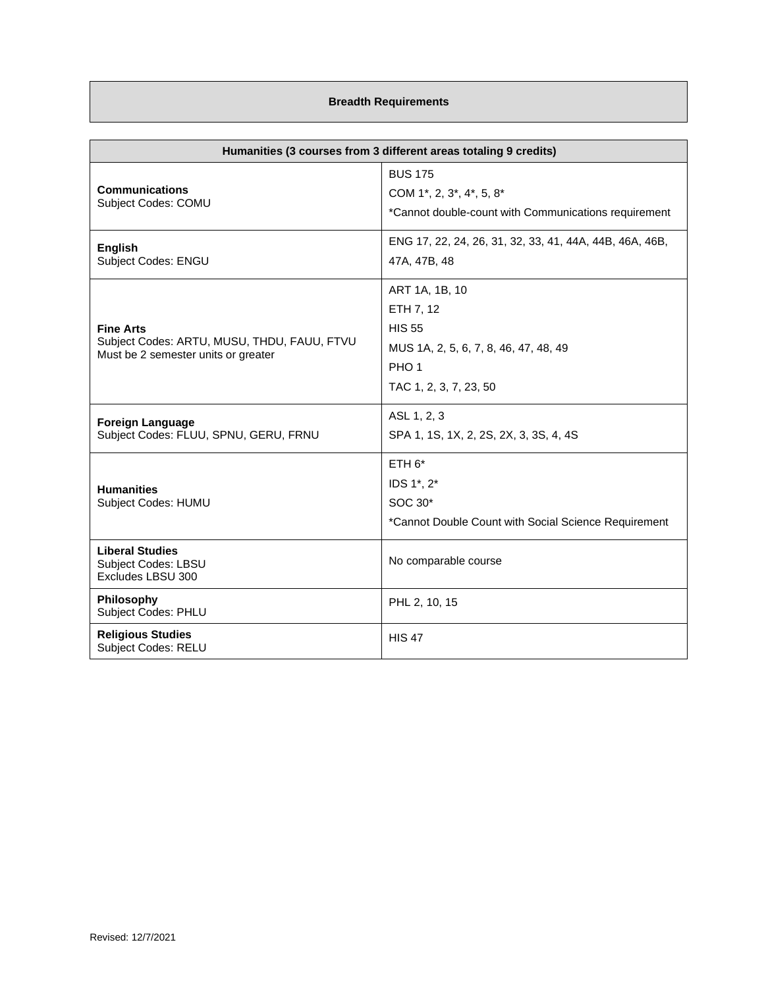## **Breadth Requirements**

| Humanities (3 courses from 3 different areas totaling 9 credits)                                       |                                                                                                                                     |
|--------------------------------------------------------------------------------------------------------|-------------------------------------------------------------------------------------------------------------------------------------|
| <b>Communications</b><br>Subject Codes: COMU                                                           | <b>BUS 175</b><br>COM 1*, 2, 3*, 4*, 5, 8*<br>*Cannot double-count with Communications requirement                                  |
| <b>English</b><br>Subject Codes: ENGU                                                                  | ENG 17, 22, 24, 26, 31, 32, 33, 41, 44A, 44B, 46A, 46B,<br>47A, 47B, 48                                                             |
| <b>Fine Arts</b><br>Subject Codes: ARTU, MUSU, THDU, FAUU, FTVU<br>Must be 2 semester units or greater | ART 1A, 1B, 10<br>ETH 7, 12<br><b>HIS 55</b><br>MUS 1A, 2, 5, 6, 7, 8, 46, 47, 48, 49<br>PHO <sub>1</sub><br>TAC 1, 2, 3, 7, 23, 50 |
| <b>Foreign Language</b><br>Subject Codes: FLUU, SPNU, GERU, FRNU                                       | ASL 1, 2, 3<br>SPA 1, 1S, 1X, 2, 2S, 2X, 3, 3S, 4, 4S                                                                               |
| <b>Humanities</b><br>Subject Codes: HUMU                                                               | $ETH 6*$<br>IDS 1*, 2*<br>SOC 30*<br>*Cannot Double Count with Social Science Requirement                                           |
| <b>Liberal Studies</b><br>Subject Codes: LBSU<br>Excludes LBSU 300                                     | No comparable course                                                                                                                |
| Philosophy<br><b>Subject Codes: PHLU</b>                                                               | PHL 2, 10, 15                                                                                                                       |
| <b>Religious Studies</b><br><b>Subject Codes: RELU</b>                                                 | <b>HIS 47</b>                                                                                                                       |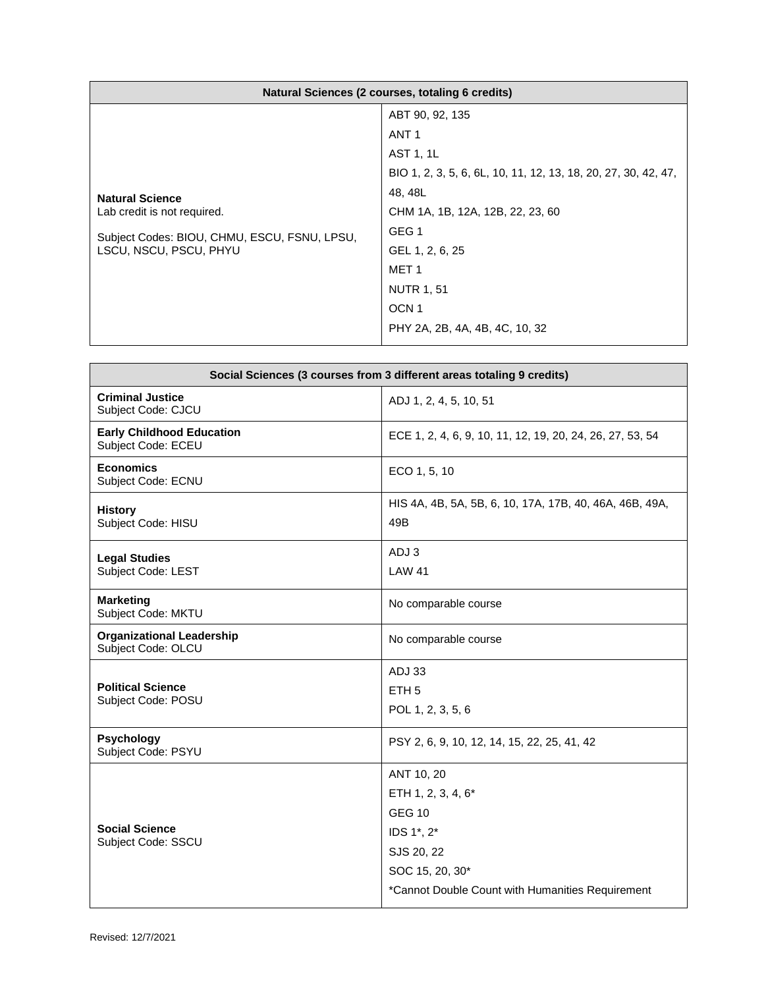| Natural Sciences (2 courses, totaling 6 credits)                                                                                |                                                                |
|---------------------------------------------------------------------------------------------------------------------------------|----------------------------------------------------------------|
| <b>Natural Science</b><br>Lab credit is not required.<br>Subject Codes: BIOU, CHMU, ESCU, FSNU, LPSU,<br>LSCU, NSCU, PSCU, PHYU | ABT 90, 92, 135                                                |
|                                                                                                                                 | ANT <sub>1</sub>                                               |
|                                                                                                                                 | AST 1, 1L                                                      |
|                                                                                                                                 | BIO 1, 2, 3, 5, 6, 6L, 10, 11, 12, 13, 18, 20, 27, 30, 42, 47, |
|                                                                                                                                 | 48, 48L                                                        |
|                                                                                                                                 | CHM 1A, 1B, 12A, 12B, 22, 23, 60                               |
|                                                                                                                                 | GEG <sub>1</sub>                                               |
|                                                                                                                                 | GEL 1, 2, 6, 25                                                |
|                                                                                                                                 | MET <sub>1</sub>                                               |
|                                                                                                                                 | <b>NUTR 1, 51</b>                                              |
|                                                                                                                                 | OCN <sub>1</sub>                                               |
|                                                                                                                                 | PHY 2A, 2B, 4A, 4B, 4C, 10, 32                                 |

| Social Sciences (3 courses from 3 different areas totaling 9 credits) |                                                                |
|-----------------------------------------------------------------------|----------------------------------------------------------------|
| <b>Criminal Justice</b><br>Subject Code: CJCU                         | ADJ 1, 2, 4, 5, 10, 51                                         |
| <b>Early Childhood Education</b><br>Subject Code: ECEU                | ECE 1, 2, 4, 6, 9, 10, 11, 12, 19, 20, 24, 26, 27, 53, 54      |
| <b>Economics</b><br>Subject Code: ECNU                                | ECO 1, 5, 10                                                   |
| <b>History</b><br>Subject Code: HISU                                  | HIS 4A, 4B, 5A, 5B, 6, 10, 17A, 17B, 40, 46A, 46B, 49A,<br>49B |
| <b>Legal Studies</b>                                                  | ADJ 3                                                          |
| Subject Code: LEST                                                    | <b>LAW 41</b>                                                  |
| <b>Marketing</b><br>Subject Code: MKTU                                | No comparable course                                           |
| <b>Organizational Leadership</b><br>Subject Code: OLCU                | No comparable course                                           |
|                                                                       | <b>ADJ 33</b>                                                  |
| <b>Political Science</b><br>Subject Code: POSU                        | ETH <sub>5</sub>                                               |
|                                                                       | POL 1, 2, 3, 5, 6                                              |
| <b>Psychology</b><br>Subject Code: PSYU                               | PSY 2, 6, 9, 10, 12, 14, 15, 22, 25, 41, 42                    |
| <b>Social Science</b><br>Subject Code: SSCU                           | ANT 10, 20                                                     |
|                                                                       | ETH 1, 2, 3, 4, 6*                                             |
|                                                                       | <b>GEG 10</b>                                                  |
|                                                                       | IDS 1*, 2*                                                     |
|                                                                       | SJS 20, 22                                                     |
|                                                                       | SOC 15, 20, 30*                                                |
|                                                                       | *Cannot Double Count with Humanities Requirement               |